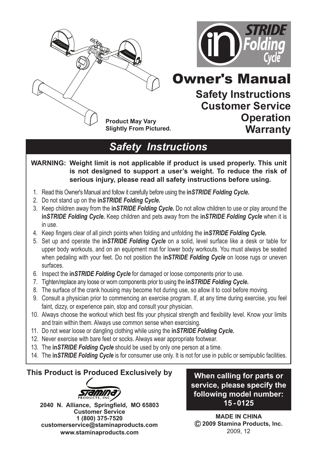



# Owner's Manual

**Safety Instructions Customer Service Operation Warranty**

*Safety Instructions*

**WARNING: Weight limit is not applicable if product is used properly. This unit is not designed to support a user's weight. To reduce the risk of serious injury, please read all safety instructions before using.**

- 1. Read this Owner's Manual and follow it carefully before using the **in***STRIDE Folding Cycle***.**
- 2. Do not stand up on the **in***STRIDE Folding Cycle***.**
- 3. Keep children away from the **in***STRIDE Folding Cycle***.** Do not allow children to use or play around the **in***STRIDE Folding Cycle***.** Keep children and pets away from the **in***STRIDE Folding Cycle* when it is in use.
- 4. Keep fingers clear of all pinch points when folding and unfolding the **in***STRIDE Folding Cycle***.**
- 5. Set up and operate the **in***STRIDE Folding Cycle* on a solid, level surface like a desk or table for upper body workouts, and on an equipment mat for lower body workouts. You must always be seated when pedaling with your feet. Do not position the **in***STRIDE Folding Cycle* on loose rugs or uneven surfaces.
- 6. Inspect the **in***STRIDE Folding Cycle* for damaged or loose components prior to use.
- 7. Tighten/replace any loose or worn components prior to using the **in***STRIDE Folding Cycle***.**
- 8. The surface of the crank housing may become hot during use, so allow it to cool before moving.
- 9. Consult a physician prior to commencing an exercise program. If, at any time during exercise, you feel faint, dizzy, or experience pain, stop and consult your physician.
- 10. Always choose the workout which best fits your physical strength and flexibility level. Know your limits and train within them. Always use common sense when exercising.
- 11. Do not wear loose or dangling clothing while using the **in***STRIDE Folding Cycle***.**
- 12. Never exercise with bare feet or socks. Always wear appropriate footwear.
- 13. The **in***STRIDE Folding Cycle* should be used by only one person at a time.
- 14. The **in***STRIDE Folding Cycle* is for consumer use only. It is not for use in public or semipublic facilities.

#### **This Product is Produced Exclusively by**



**2040 N. Alliance, Springfield, MO 65803 Customer Service 1 (800) 375-7520 customerservice@staminaproducts.com www.staminaproducts.com**

**When calling for parts or service, please specify the following model number: 15 - 0125**

**MADE IN CHINA 2009 Stamina Products, Inc.** 2009, 12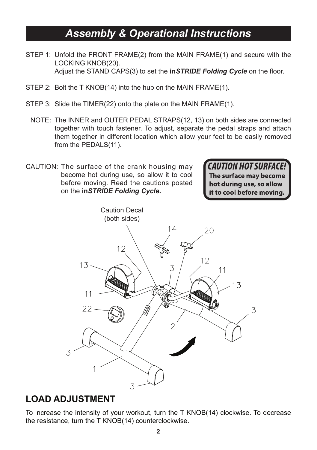# *Assembly & Operational Instructions*

- STEP 1: Unfold the FRONT FRAME(2) from the MAIN FRAME(1) and secure with the LOCKING KNOB(20). Adjust the STAND CAPS(3) to set the **in***STRIDE Folding Cycle* on the floor.
- STEP 2: Bolt the T KNOB(14) into the hub on the MAIN FRAME(1).
- STEP 3: Slide the TIMER(22) onto the plate on the MAIN FRAME(1).
	- NOTE: The INNER and OUTER PEDAL STRAPS(12, 13) on both sides are connected together with touch fastener. To adjust, separate the pedal straps and attach them together in different location which allow your feet to be easily removed from the PEDALS(11).
- CAUTION: The surface of the crank housing may become hot during use, so allow it to cool before moving. Read the cautions posted on the **in***STRIDE Folding Cycle***.**

**CAUTION HOT SURFACE!** The surface may become hot during use, so allow it to cool before moving.



#### **LOAD ADJUSTMENT**

To increase the intensity of your workout, turn the T KNOB(14) clockwise. To decrease the resistance, turn the T KNOB(14) counterclockwise.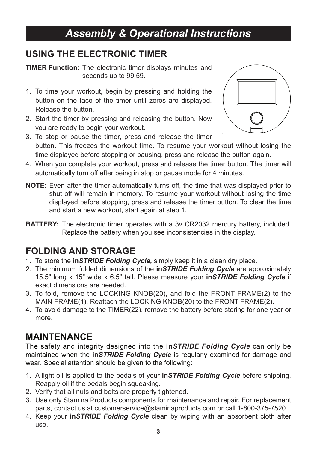# *Assembly & Operational Instructions*

#### **USING THE ELECTRONIC TIMER**

**TIMER Function:** The electronic timer displays minutes and seconds up to 99.59.

- 1. To time your workout, begin by pressing and holding the button on the face of the timer until zeros are displayed. Release the button.
- 2. Start the timer by pressing and releasing the button. Now you are ready to begin your workout.



- 3. To stop or pause the timer, press and release the timer button. This freezes the workout time. To resume your workout without losing the time displayed before stopping or pausing, press and release the button again.
- 4. When you complete your workout, press and release the timer button. The timer will automatically turn off after being in stop or pause mode for 4 minutes.
- **NOTE:** Even after the timer automatically turns off, the time that was displayed prior to shut off will remain in memory. To resume your workout without losing the time displayed before stopping, press and release the timer button. To clear the time and start a new workout, start again at step 1.
- **BATTERY:** The electronic timer operates with a 3v CR2032 mercury battery, included. Replace the battery when you see inconsistencies in the display.

## **FOLDING AND STORAGE**

- 1. To store the **in***STRIDE Folding Cycle,* simply keep it in a clean dry place.
- 2. The minimum folded dimensions of the **in***STRIDE Folding Cycle* are approximately 15.5" long x 15" wide x 6.5" tall. Please measure your **in***STRIDE Folding Cycle* if exact dimensions are needed.
- 3. To fold, remove the LOCKING KNOB(20), and fold the FRONT FRAME(2) to the MAIN FRAME(1). Reattach the LOCKING KNOB(20) to the FRONT FRAME(2).
- 4. To avoid damage to the TIMER(22), remove the battery before storing for one year or more.

## **MAINTENANCE**

The safety and integrity designed into the **in***STRIDE Folding Cycle* can only be maintained when the **in***STRIDE Folding Cycle* is regularly examined for damage and wear. Special attention should be given to the following:

- 1. A light oil is applied to the pedals of your **in***STRIDE Folding Cycle* before shipping. Reapply oil if the pedals begin squeaking.
- 2. Verify that all nuts and bolts are properly tightened.
- 3. Use only Stamina Products components for maintenance and repair. For replacement parts, contact us at customerservice@staminaproducts.com or call 1-800-375-7520.
- 4. Keep your **in***STRIDE Folding Cycle* clean by wiping with an absorbent cloth after use.